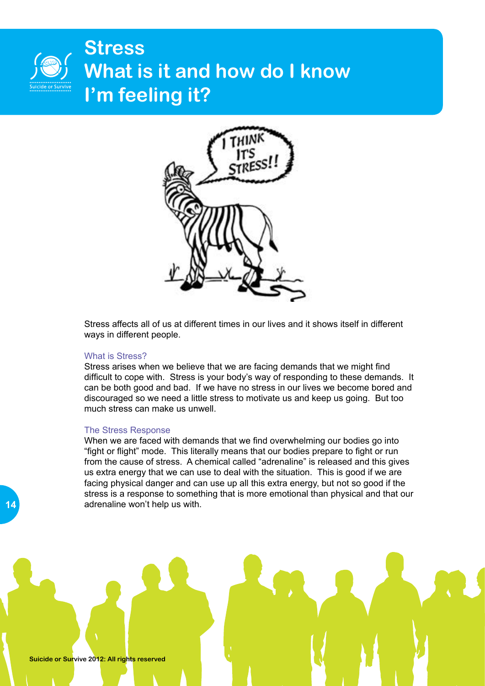### **Stress What is it and how do I know I'm feeling it?**



Stress affects all of us at different times in our lives and it shows itself in different ways in different people.

### What is Stress?

Stress arises when we believe that we are facing demands that we might find difficult to cope with. Stress is your body's way of responding to these demands. It can be both good and bad. If we have no stress in our lives we become bored and discouraged so we need a little stress to motivate us and keep us going. But too much stress can make us unwell.

#### The Stress Response

When we are faced with demands that we find overwhelming our bodies go into "fight or flight" mode. This literally means that our bodies prepare to fight or run from the cause of stress. A chemical called "adrenaline" is released and this gives us extra energy that we can use to deal with the situation. This is good if we are facing physical danger and can use up all this extra energy, but not so good if the stress is a response to something that is more emotional than physical and that our adrenaline won't help us with.

**Suicide or Survive 2012: All rights reserved**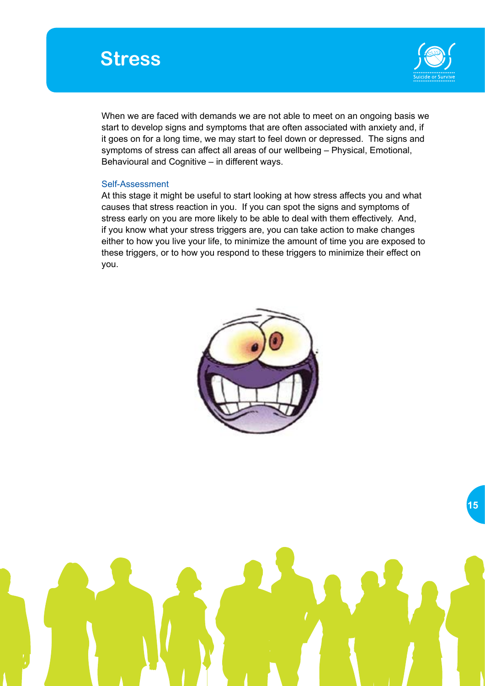



When we are faced with demands we are not able to meet on an ongoing basis we start to develop signs and symptoms that are often associated with anxiety and, if it goes on for a long time, we may start to feel down or depressed. The signs and symptoms of stress can affect all areas of our wellbeing – Physical, Emotional, Behavioural and Cognitive – in different ways.

### Self-Assessment

At this stage it might be useful to start looking at how stress affects you and what causes that stress reaction in you. If you can spot the signs and symptoms of stress early on you are more likely to be able to deal with them effectively. And, if you know what your stress triggers are, you can take action to make changes either to how you live your life, to minimize the amount of time you are exposed to these triggers, or to how you respond to these triggers to minimize their effect on you.

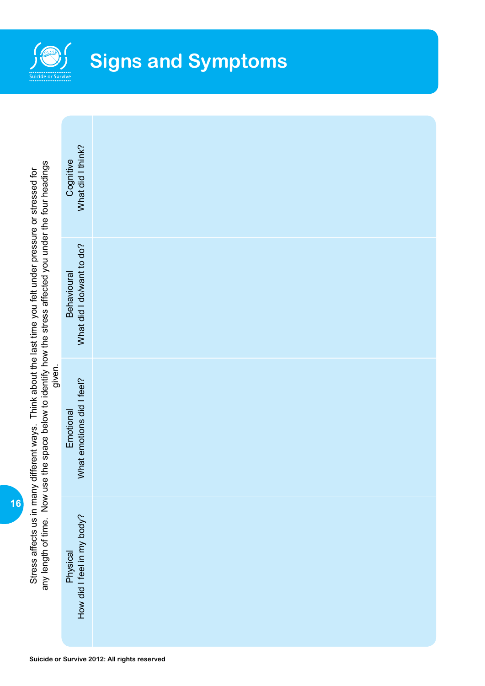

| any length of time. Now use the space below to identify how the stress affected you under the four headings<br>Stress affects us in many different ways. Think about the last time you felt under pressure or stressed for<br>given. | What did I think?<br>Cognitive                  |  |
|--------------------------------------------------------------------------------------------------------------------------------------------------------------------------------------------------------------------------------------|-------------------------------------------------|--|
|                                                                                                                                                                                                                                      | What did I do/want to do?<br><b>Behavioural</b> |  |
|                                                                                                                                                                                                                                      | What emotions did I feel?<br>Emotional          |  |
|                                                                                                                                                                                                                                      | How did I feel in my body?<br>Physical          |  |

**16**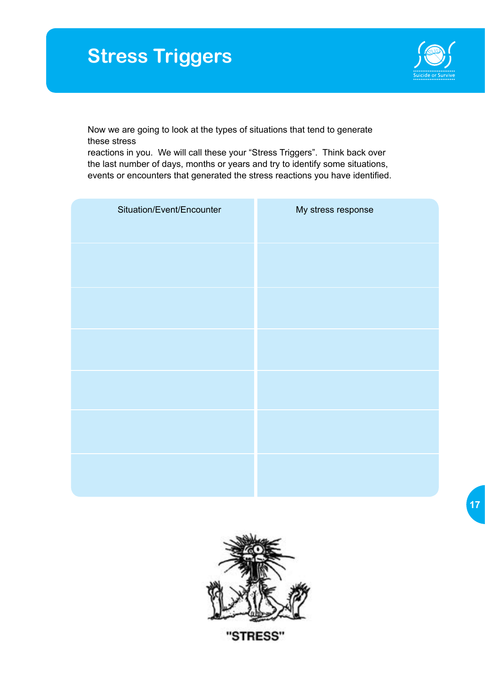# **Stress Triggers**



Now we are going to look at the types of situations that tend to generate these stress

reactions in you. We will call these your "Stress Triggers". Think back over the last number of days, months or years and try to identify some situations, events or encounters that generated the stress reactions you have identified.

| Situation/Event/Encounter | My stress response |
|---------------------------|--------------------|
|                           |                    |
|                           |                    |
|                           |                    |
|                           |                    |
|                           |                    |
|                           |                    |



"STRESS"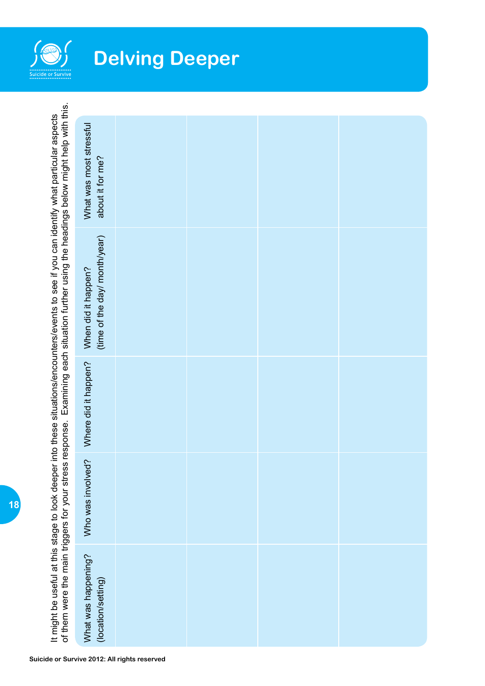

# **Delving Deeper**

|                                                                                                                                             | What was most stressful<br>about it for me?          |  |  |  |
|---------------------------------------------------------------------------------------------------------------------------------------------|------------------------------------------------------|--|--|--|
| Examining each situation further using the headings below might help with this.<br>of them were the main triggers for your stress response. | (time of the day/ month/year)<br>When did it happen? |  |  |  |
|                                                                                                                                             | Where did it happen?                                 |  |  |  |
|                                                                                                                                             | Who was involved?                                    |  |  |  |
|                                                                                                                                             | What was happening?<br>(location/setting)            |  |  |  |

It might be useful at this stage to look deeper into these situations/encounters/events to see if you can identify what particular aspects

It might be useful at this stage to look deeper into these situations/encounters/events to see if you can identify what particular aspects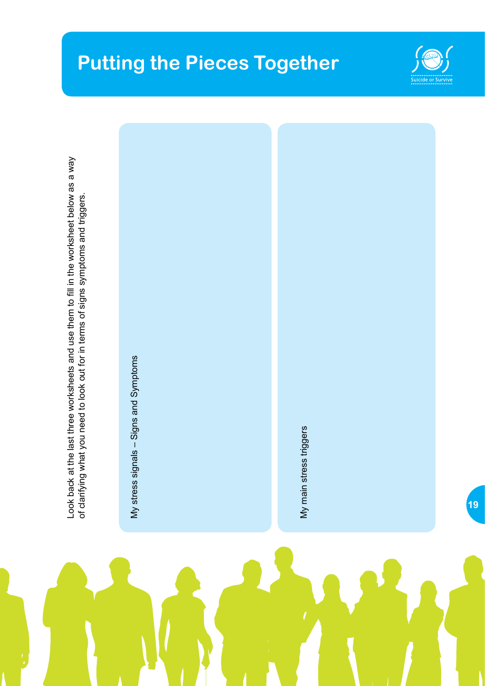## **Putting the Pieces Together**

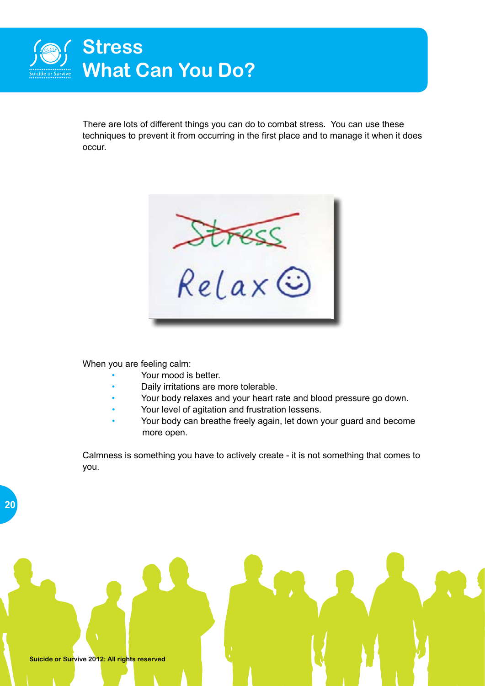

There are lots of different things you can do to combat stress. You can use these techniques to prevent it from occurring in the first place and to manage it when it does occur.



When you are feeling calm:

- Your mood is better.
- Daily irritations are more tolerable.
- Your body relaxes and your heart rate and blood pressure go down.
- Your level of agitation and frustration lessens.
- Your body can breathe freely again, let down your guard and become more open.

Calmness is something you have to actively create - it is not something that comes to you.

**Suicide or Survive 2012: All rights reserved**